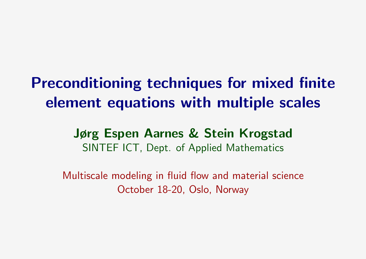# Preconditioning techniques for mixed finite element equations with multiple scales

### Jørg Espen Aarnes & Stein Krogstad SINTEF ICT, Dept. of Applied Mathematics

Multiscale modeling in fluid flow and material science October 18-20, Oslo, Norway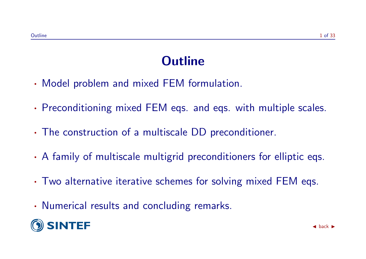### **Outline**

- · Model problem and mixed FEM formulation.
- · Preconditioning mixed FEM eqs. and eqs. with multiple scales.
- · The construction of a multiscale DD preconditioner.
- · A family of multiscale multigrid preconditioners for elliptic eqs.
- · Two alternative iterative schemes for solving mixed FEM eqs.
- · Numerical results and concluding remarks.

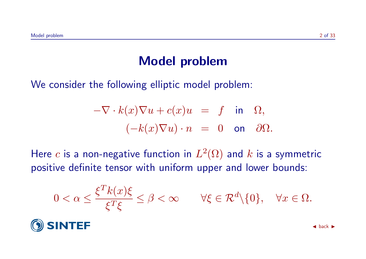### Model problem

We consider the following elliptic model problem:

$$
-\nabla \cdot k(x)\nabla u + c(x)u = f \text{ in } \Omega,
$$
  

$$
(-k(x)\nabla u) \cdot n = 0 \text{ on } \partial \Omega.
$$

Here  $c$  is a non-negative function in  $L^2(\Omega)$  and  $k$  is a symmetric positive definite tensor with uniform upper and lower bounds:

$$
0 < \alpha \leq \frac{\xi^T k(x)\xi}{\xi^T \xi} \leq \beta < \infty \qquad \forall \xi \in \mathcal{R}^d \setminus \{0\}, \quad \forall x \in \Omega.
$$

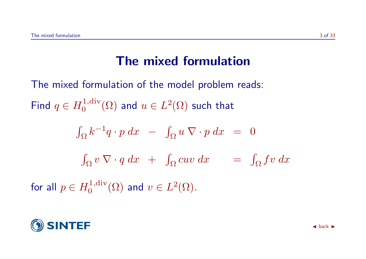### The mixed formulation

The mixed formulation of the model problem reads: Find  $q \in H_0^{1,\text{div}}$  $\mathcal{O}_0^{1,\mathrm{div}}(\Omega)$  and  $u\in L^2(\Omega)$  such that

$$
\int_{\Omega} k^{-1} q \cdot p \, dx - \int_{\Omega} u \, \nabla \cdot p \, dx = 0
$$
  

$$
\int_{\Omega} v \, \nabla \cdot q \, dx + \int_{\Omega} cuv \, dx = \int_{\Omega} fv \, dx
$$

for all  $p\in H_0^{1,\mathrm{div}}$  $v_0^{1,\mathop{\mathrm{div}}\nolimits}(\Omega)$  and  $v\in L^2(\Omega)$ .

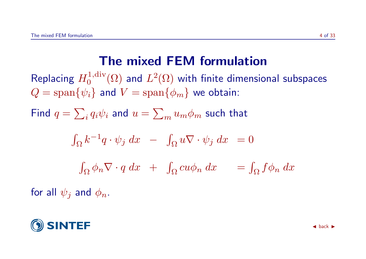### The mixed FEM formulation

Replacing  $H_0^{1,\mathrm{div}}$  $L^{1,\operatorname{div}}_{0}(\Omega)$  and  $L^{2}(\Omega)$  with finite dimensional subspaces  $Q = \text{span}\{\psi_i\}$  and  $V = \text{span}\{\phi_m\}$  we obtain:

Find  $q=\sum_i q_i\psi_i$  and  $u=\sum_m u_m\phi_m$  such that

$$
\int_{\Omega} k^{-1} q \cdot \psi_j \, dx \quad - \quad \int_{\Omega} u \nabla \cdot \psi_j \, dx \quad = 0
$$
\n
$$
\int_{\Omega} \phi_n \nabla \cdot q \, dx \quad + \quad \int_{\Omega} cu \phi_n \, dx \quad = \int_{\Omega} f \phi_n \, dx
$$

for all  $\psi_i$  and  $\phi_n$ .

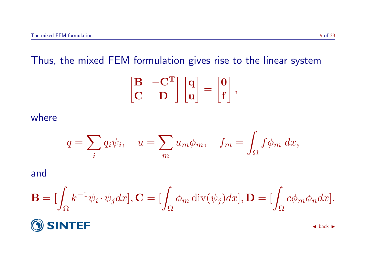Thus, the mixed FEM formulation gives rise to the linear system

$$
\begin{bmatrix} \mathbf{B} & -\mathbf{C}^T \\ \mathbf{C} & \mathbf{D} \end{bmatrix} \begin{bmatrix} \mathbf{q} \\ \mathbf{u} \end{bmatrix} = \begin{bmatrix} \mathbf{0} \\ \mathbf{f} \end{bmatrix},
$$

where

$$
q = \sum_{i} q_i \psi_i, \quad u = \sum_{m} u_m \phi_m, \quad f_m = \int_{\Omega} f \phi_m \, dx,
$$

and

$$
\mathbf{B} = \left[\int_{\Omega} k^{-1} \psi_i \cdot \psi_j dx\right], \mathbf{C} = \left[\int_{\Omega} \phi_m \operatorname{div}(\psi_j) dx\right], \mathbf{D} = \left[\int_{\Omega} c \phi_m \phi_n dx\right].
$$

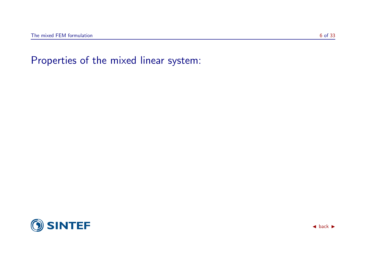

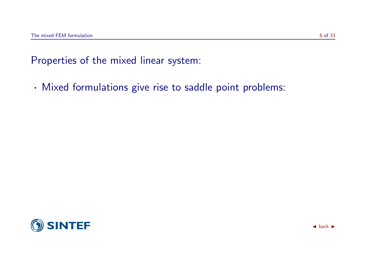· Mixed formulations give rise to saddle point problems:

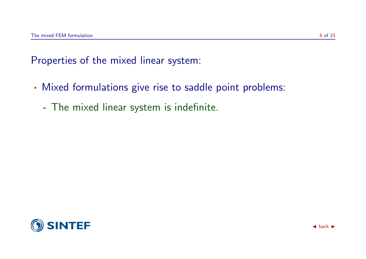- · Mixed formulations give rise to saddle point problems:
	- The mixed linear system is indefinite.

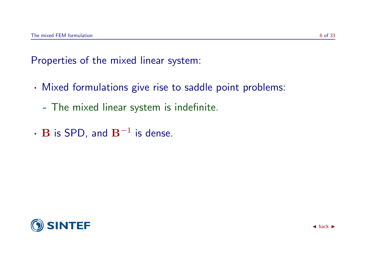- · Mixed formulations give rise to saddle point problems:
	- The mixed linear system is indefinite.
- $\cdot$  B is SPD, and  $B^{-1}$  is dense.

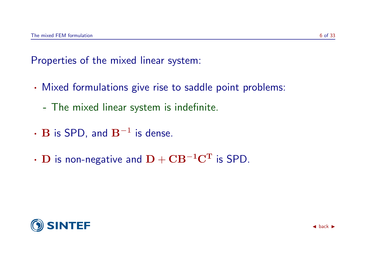- · Mixed formulations give rise to saddle point problems:
	- The mixed linear system is indefinite.
- $\cdot$  B is SPD, and  $B^{-1}$  is dense.
- $\cdot$  D is non-negative and  $D + CB^{-1}C^{T}$  is SPD.

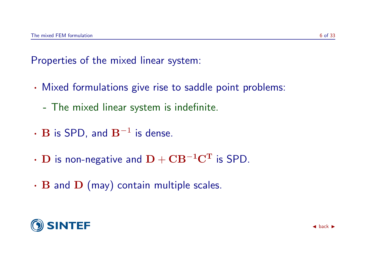- · Mixed formulations give rise to saddle point problems:
	- The mixed linear system is indefinite.
- $\cdot$  B is SPD, and  $B^{-1}$  is dense.
- $\cdot$  D is non-negative and  $D + CB^{-1}C^{T}$  is SPD.
- $\cdot$  B and D (may) contain multiple scales.

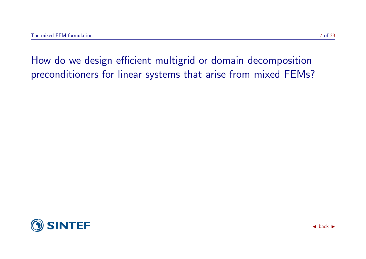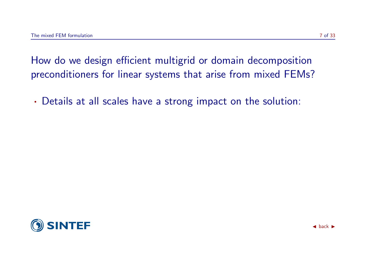· Details at all scales have a strong impact on the solution:

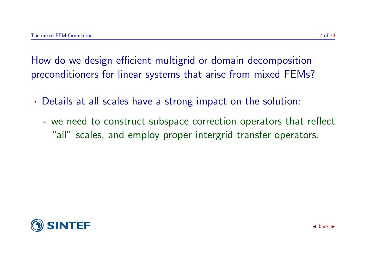- · Details at all scales have a strong impact on the solution:
	- we need to construct subspace correction operators that reflect "all" scales, and employ proper intergrid transfer operators.

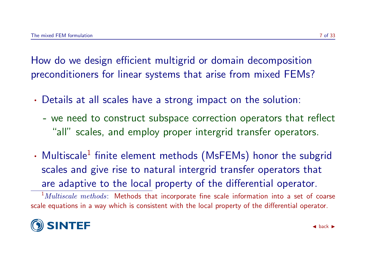- · Details at all scales have a strong impact on the solution:
	- we need to construct subspace correction operators that reflect "all" scales, and employ proper intergrid transfer operators.
- Multiscale<sup>[1](#page-15-0)</sup> finite element methods (MsFEMs) honor the subgrid scales and give rise to natural intergrid transfer operators that are adaptive to the local property of the differential operator.

<span id="page-15-0"></span> $1$ *Multiscale methods*: Methods that incorporate fine scale information into a set of coarse scale equations in a way which is consistent with the local property of the differential operator.

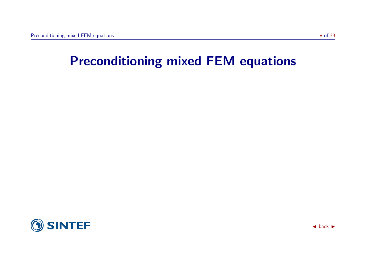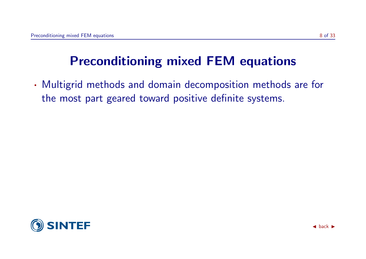· Multigrid methods and domain decomposition methods are for the most part geared toward positive definite systems.

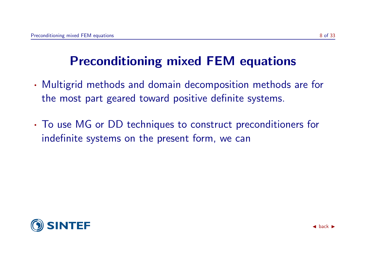- · Multigrid methods and domain decomposition methods are for the most part geared toward positive definite systems.
- · To use MG or DD techniques to construct preconditioners for indefinite systems on the present form, we can

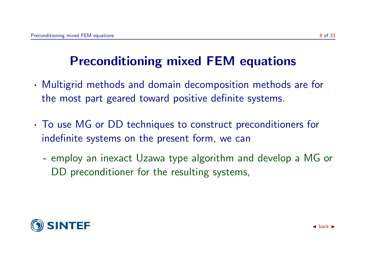- · Multigrid methods and domain decomposition methods are for the most part geared toward positive definite systems.
- · To use MG or DD techniques to construct preconditioners for indefinite systems on the present form, we can
	- employ an inexact Uzawa type algorithm and develop a MG or DD preconditioner for the resulting systems,

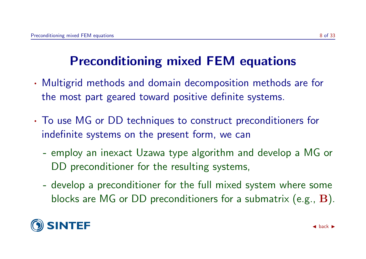- · Multigrid methods and domain decomposition methods are for the most part geared toward positive definite systems.
- · To use MG or DD techniques to construct preconditioners for indefinite systems on the present form, we can
	- employ an inexact Uzawa type algorithm and develop a MG or DD preconditioner for the resulting systems,
	- develop a preconditioner for the full mixed system where some blocks are MG or DD preconditioners for a submatrix (e.g., B).

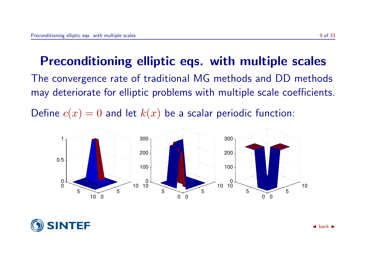### Preconditioning elliptic eqs. with multiple scales

The convergence rate of traditional MG methods and DD methods may deteriorate for elliptic problems with multiple scale coefficients.

Define  $c(x) = 0$  and let  $k(x)$  be a scalar periodic function:



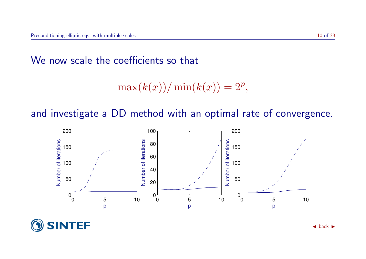#### We now scale the coefficients so that

$$
\max(k(x))/\min(k(x)) = 2^p,
$$

and investigate a DD method with an optimal rate of convergence.



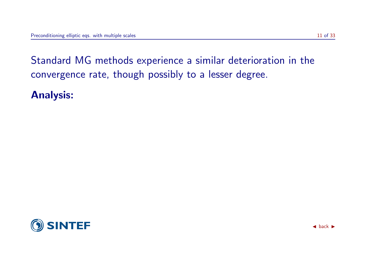Analysis:

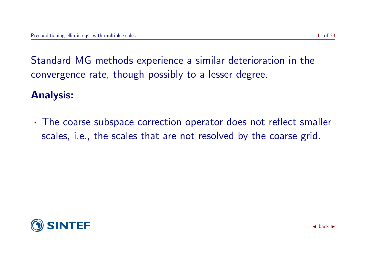#### Analysis:

· The coarse subspace correction operator does not reflect smaller scales, i.e., the scales that are not resolved by the coarse grid.

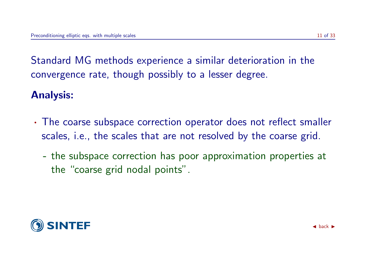#### Analysis:

- · The coarse subspace correction operator does not reflect smaller scales, i.e., the scales that are not resolved by the coarse grid.
	- the subspace correction has poor approximation properties at the "coarse grid nodal points".

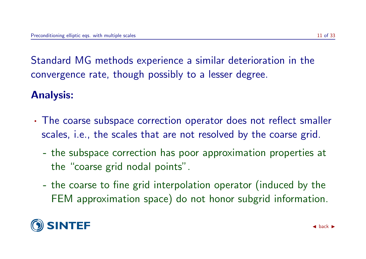#### Analysis:

- · The coarse subspace correction operator does not reflect smaller scales, i.e., the scales that are not resolved by the coarse grid.
	- the subspace correction has poor approximation properties at the "coarse grid nodal points".
	- the coarse to fine grid interpolation operator (induced by the FEM approximation space) do not honor subgrid information.

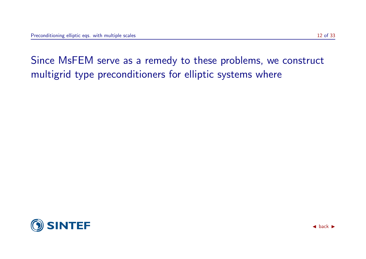Since MsFEM serve as a remedy to these problems, we construct

multigrid type preconditioners for elliptic systems where

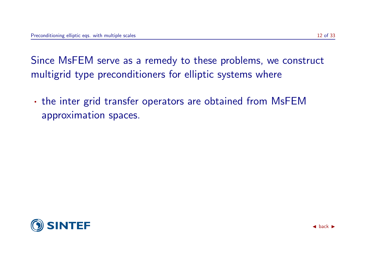Since MsFEM serve as a remedy to these problems, we construct multigrid type preconditioners for elliptic systems where

· the inter grid transfer operators are obtained from MsFEM approximation spaces.

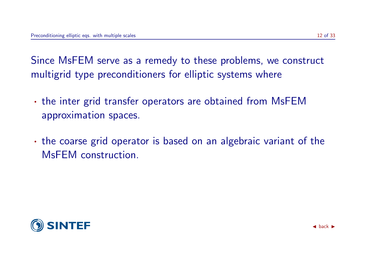Since MsFEM serve as a remedy to these problems, we construct multigrid type preconditioners for elliptic systems where

- · the inter grid transfer operators are obtained from MsFEM approximation spaces.
- · the coarse grid operator is based on an algebraic variant of the MsFEM construction.

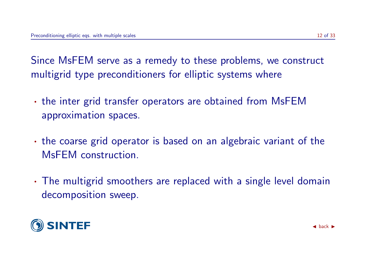Since MsFEM serve as a remedy to these problems, we construct multigrid type preconditioners for elliptic systems where

- · the inter grid transfer operators are obtained from MsFEM approximation spaces.
- · the coarse grid operator is based on an algebraic variant of the MsFEM construction.
- · The multigrid smoothers are replaced with a single level domain decomposition sweep.

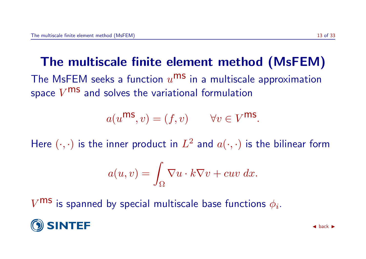# The multiscale finite element method (MsFEM)

The MsFEM seeks a function  $u^{\text{ms}}$  in a multiscale approximation space  $V^{\text{ms}}$  and solves the variational formulation

$$
a(u^{\text{ms}}, v) = (f, v) \qquad \forall v \in V^{\text{ms}}.
$$

Here  $(\cdot, \cdot)$  is the inner product in  $L^2$  and  $a(\cdot, \cdot)$  is the bilinear form

$$
a(u,v) = \int_{\Omega} \nabla u \cdot k \nabla v + cuv \, dx.
$$

 $V^{\textbf{MS}}$  is spanned by special multiscale base functions  $\phi_i$ .

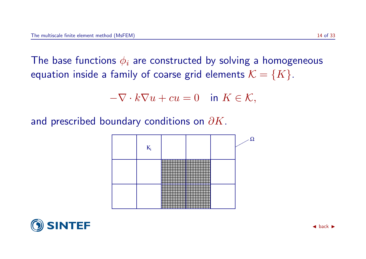The base functions  $\phi_i$  are constructed by solving a homogeneous equation inside a family of coarse grid elements  $\mathcal{K} = \{K\}$ .

$$
-\nabla \cdot k\nabla u + cu = 0 \quad \text{in } K \in \mathcal{K},
$$

and prescribed boundary conditions on  $\partial K$ .



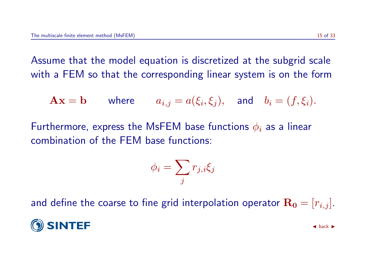Assume that the model equation is discretized at the subgrid scale with a FEM so that the corresponding linear system is on the form

$$
\mathbf{A}\mathbf{x} = \mathbf{b} \qquad \text{where} \qquad a_{i,j} = a(\xi_i, \xi_j), \quad \text{and} \quad b_i = (f, \xi_i).
$$

Furthermore, express the MsFEM base functions  $\phi_i$  as a linear combination of the FEM base functions:

$$
\phi_i = \sum_j r_{j,i} \xi_j
$$

and define the coarse to fine grid interpolation operator  $\mathbf{R_0} = [r_{i,j}]$ .

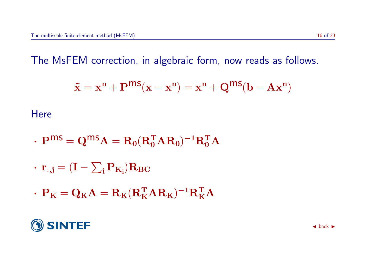The MsFEM correction, in algebraic form, now reads as follows.

$$
\mathbf{\tilde{x}} = \mathbf{x}^n + \mathbf{P}^{ms}(\mathbf{x} - \mathbf{x}^n) = \mathbf{x}^n + \mathbf{Q}^{ms}(\mathbf{b} - \mathbf{A}\mathbf{x}^n)
$$

**Here** 

- $\boldsymbol{\cdot}\ \mathbf{P}^{\textsf{MS}}=\mathbf{Q}^{\textsf{MS}}\mathbf{A}=\mathbf{R}_{\mathbf{0}}(\mathbf{R}_{\mathbf{0}}^{\textsf{T}}\mathbf{A}\mathbf{R}_{\mathbf{0}})^{-1}\mathbf{R}_{\mathbf{0}}^{\textsf{T}}\mathbf{A}$
- $\cdot \hspace{0.1cm} \textbf{r}_{:, \textbf{j}} = (\textbf{I} \sum_{\textbf{i}} \textbf{P}_{\textbf{K}_{\textbf{i}}}) \textbf{R}_{\textbf{BC}}$
- $\boldsymbol{\cdot} \ \mathbf{P}_\mathbf{K} = \mathbf{Q}_\mathbf{K} \mathbf{A} = \mathbf{R}_\mathbf{K} (\mathbf{R}_\mathbf{K}^T \mathbf{A} \mathbf{R}_\mathbf{K})^{-1} \mathbf{R}_\mathbf{K}^T \mathbf{A}$

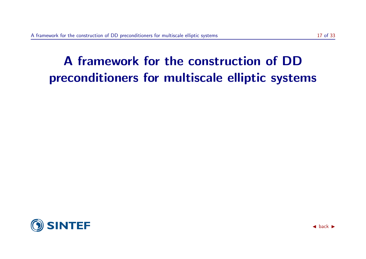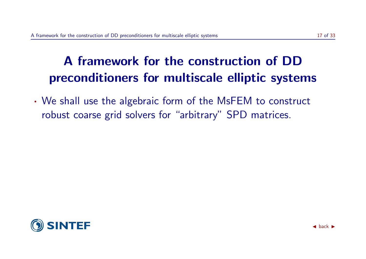· We shall use the algebraic form of the MsFEM to construct robust coarse grid solvers for "arbitrary" SPD matrices.

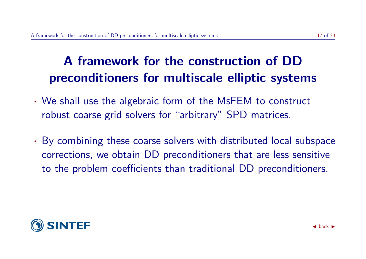- · We shall use the algebraic form of the MsFEM to construct robust coarse grid solvers for "arbitrary" SPD matrices.
- · By combining these coarse solvers with distributed local subspace corrections, we obtain DD preconditioners that are less sensitive to the problem coefficients than traditional DD preconditioners.

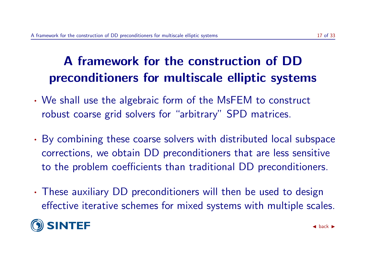- · We shall use the algebraic form of the MsFEM to construct robust coarse grid solvers for "arbitrary" SPD matrices.
- · By combining these coarse solvers with distributed local subspace corrections, we obtain DD preconditioners that are less sensitive to the problem coefficients than traditional DD preconditioners.
- · These auxiliary DD preconditioners will then be used to design effective iterative schemes for mixed systems with multiple scales.

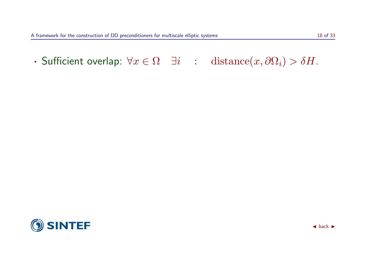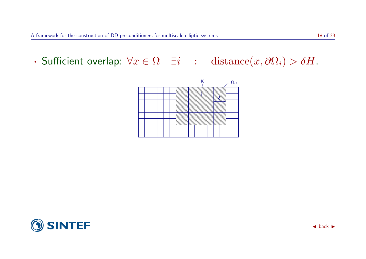

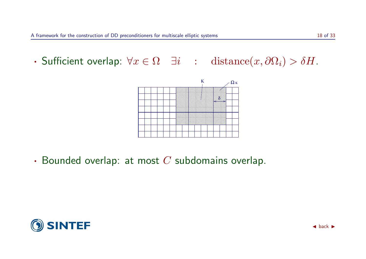

 $\cdot$  Bounded overlap: at most  $C$  subdomains overlap.

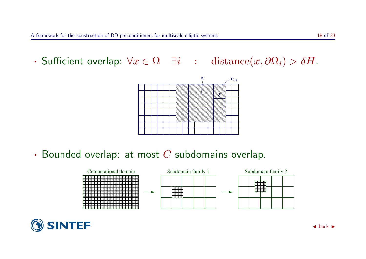

 $\cdot$  Bounded overlap: at most  $C$  subdomains overlap.



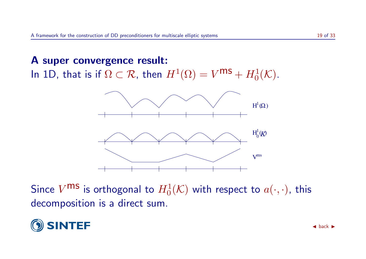#### A super convergence result: In 1D, that is if  $\Omega \subset \mathcal{R}$ , then  $H^1(\Omega) = V^{\mathsf{MS}} + H^1_0(\mathcal{K})$ .



Since  $V^{\textbf{MS}}$  is orthogonal to  $H^1_0(\mathcal{K})$  with respect to  $a(\cdot,\cdot)$ , this decomposition is a direct sum.

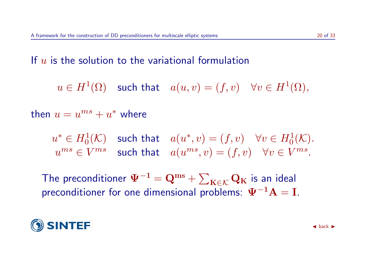If  $u$  is the solution to the variational formulation

 $u\in H^1(\Omega)$  such that  $a(u,v)=(f,v) \quad \forall v\in H^1(\Omega),$ 

then  $u = u^{ms} + u^*$  where

 $u^* \in H^1_0(\mathcal{K})$  such that  $a(u^*, v) = (f, v) \quad \forall v \in H^1_0(\mathcal{K})$ .  $u^{ms} \in V^{ms}$  such that  $a(u^{ms}, v) = (f, v) \quad \forall v \in V^{ms}.$ 

The preconditioner  $\Psi^{-1} = \mathbf{Q}^{\text{ms}} + \sum_{\mathbf{K} \in \mathcal{K}} \mathbf{Q}_{\mathbf{K}}$  is an ideal preconditioner for one dimensional problems:  $\Psi^{-1}A = I$ .

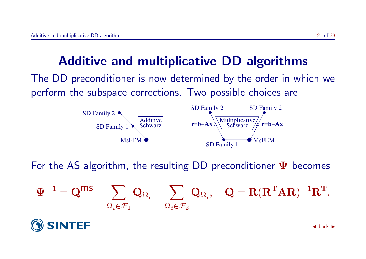### Additive and multiplicative DD algorithms

The DD preconditioner is now determined by the order in which we perform the subspace corrections. Two possible choices are



For the AS algorithm, the resulting DD preconditioner  $\Psi$  becomes

$$
\Psi^{-1} = \mathbf{Q}^{\mathsf{m}\mathsf{S}} + \sum_{\Omega_i \in \mathcal{F}_1} \mathbf{Q}_{\Omega_i} + \sum_{\Omega_i \in \mathcal{F}_2} \mathbf{Q}_{\Omega_i}, \quad \mathbf{Q} = \mathbf{R}(\mathbf{R}^{\mathsf{T}} \mathbf{A} \mathbf{R})^{-1} \mathbf{R}^{\mathsf{T}}.
$$

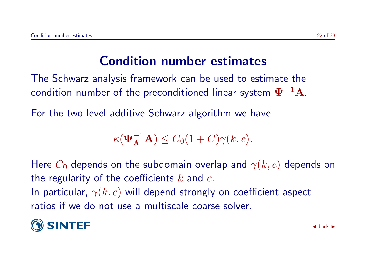### Condition number estimates

The Schwarz analysis framework can be used to estimate the condition number of the preconditioned linear system  $\Psi^{-1}$ A.

For the two-level additive Schwarz algorithm we have

$$
\kappa(\mathbf{\Psi}_{\mathbf{A}}^{-1}\mathbf{A}) \leq C_0(1+C)\gamma(k,c).
$$

Here  $C_0$  depends on the subdomain overlap and  $\gamma(k, c)$  depends on the regularity of the coefficients  $k$  and  $c$ . In particular,  $\gamma(k, c)$  will depend strongly on coefficient aspect ratios if we do not use a multiscale coarse solver.

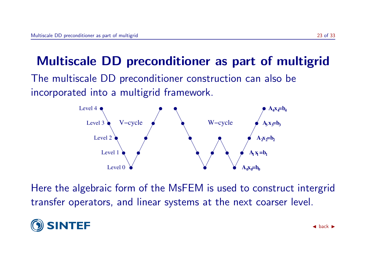### Multiscale DD preconditioner as part of multigrid

The multiscale DD preconditioner construction can also be incorporated into a multigrid framework.



Here the algebraic form of the MsFEM is used to construct intergrid transfer operators, and linear systems at the next coarser level.

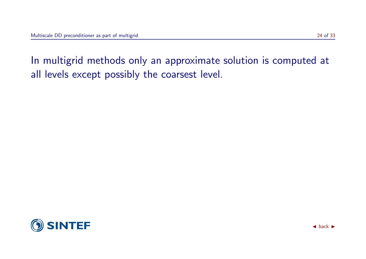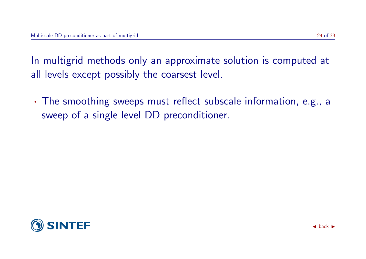· The smoothing sweeps must reflect subscale information, e.g., a sweep of a single level DD preconditioner.

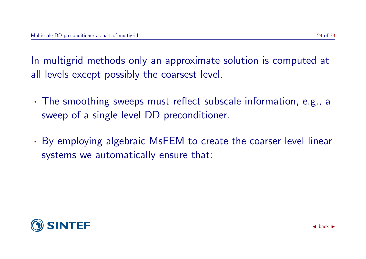- · The smoothing sweeps must reflect subscale information, e.g., a sweep of a single level DD preconditioner.
- · By employing algebraic MsFEM to create the coarser level linear systems we automatically ensure that:

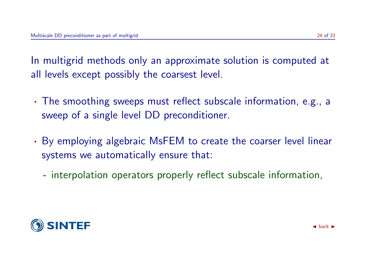- · The smoothing sweeps must reflect subscale information, e.g., a sweep of a single level DD preconditioner.
- · By employing algebraic MsFEM to create the coarser level linear systems we automatically ensure that:
	- interpolation operators properly reflect subscale information,

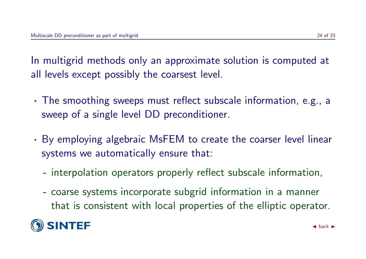- · The smoothing sweeps must reflect subscale information, e.g., a sweep of a single level DD preconditioner.
- · By employing algebraic MsFEM to create the coarser level linear systems we automatically ensure that:
	- interpolation operators properly reflect subscale information,
	- coarse systems incorporate subgrid information in a manner that is consistent with local properties of the elliptic operator.

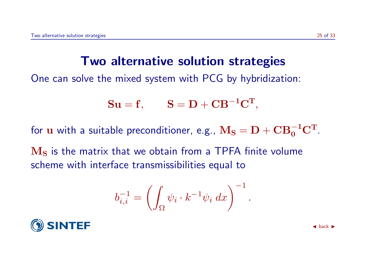#### Two alternative solution strategies

One can solve the mixed system with PCG by hybridization:

$$
\mathbf{S}\mathbf{u} = \mathbf{f}, \qquad \mathbf{S} = \mathbf{D} + \mathbf{C}\mathbf{B}^{-1}\mathbf{C}^{\mathbf{T}},
$$

for  ${\bf u}$  with a suitable preconditioner, e.g.,  ${\bf M_S} = {\bf D} + {\bf C} {\bf B}_0^{-1} {\bf C}^{\rm T}.$ 

 $M<sub>S</sub>$  is the matrix that we obtain from a TPFA finite volume scheme with interface transmissibilities equal to

$$
b_{i,i}^{-1} = \left(\int_{\Omega} \psi_i \cdot k^{-1} \psi_i \, dx\right)^{-1}.
$$

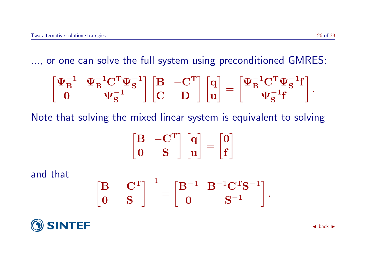..., or one can solve the full system using preconditioned GMRES:

$$
\begin{bmatrix} \Psi_B^{-1} & \Psi_B^{-1} C^T \Psi_S^{-1} \\ 0 & \Psi_S^{-1} \end{bmatrix} \begin{bmatrix} B & -C^T \\ C & D \end{bmatrix} \begin{bmatrix} q \\ u \end{bmatrix} = \begin{bmatrix} \Psi_B^{-1} C^T \Psi_S^{-1}f \\ \Psi_S^{-1}f \end{bmatrix}.
$$

Note that solving the mixed linear system is equivalent to solving

$$
\begin{bmatrix} \mathbf{B} & -\mathbf{C}^T \\ \mathbf{0} & \mathbf{S} \end{bmatrix} \begin{bmatrix} \mathbf{q} \\ \mathbf{u} \end{bmatrix} = \begin{bmatrix} \mathbf{0} \\ \mathbf{f} \end{bmatrix}
$$

and that

$$
\begin{bmatrix} B & -C^T \\ 0 & S \end{bmatrix}^{-1} = \begin{bmatrix} B^{-1} & B^{-1}C^TS^{-1} \\ 0 & S^{-1} \end{bmatrix}.
$$

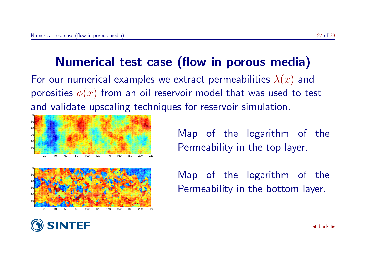### Numerical test case (flow in porous media)

For our numerical examples we extract permeabilities  $\lambda(x)$  and porosities  $\phi(x)$  from an oil reservoir model that was used to test and validate upscaling techniques for reservoir simulation.





Map of the logarithm of the Permeability in the top layer.

Map of the logarithm of the Permeability in the bottom layer.

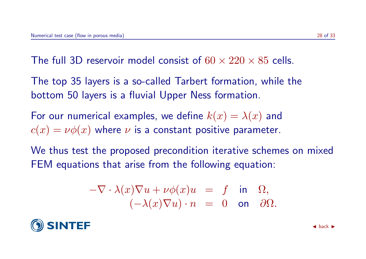The full 3D reservoir model consist of  $60 \times 220 \times 85$  cells.

The top 35 layers is a so-called Tarbert formation, while the bottom 50 layers is a fluvial Upper Ness formation.

For our numerical examples, we define  $k(x) = \lambda(x)$  and  $c(x) = \nu \phi(x)$  where  $\nu$  is a constant positive parameter.

We thus test the proposed precondition iterative schemes on mixed FEM equations that arise from the following equation:

$$
-\nabla \cdot \lambda(x)\nabla u + \nu\phi(x)u = f \text{ in } \Omega,
$$
  

$$
(-\lambda(x)\nabla u) \cdot n = 0 \text{ on } \partial\Omega.
$$

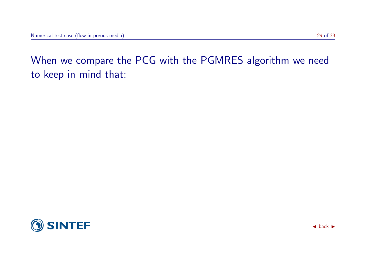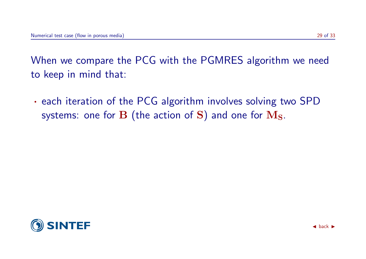· each iteration of the PCG algorithm involves solving two SPD systems: one for  $\bf{B}$  (the action of  $\bf{S}$ ) and one for  $\bf{M}_S$ .

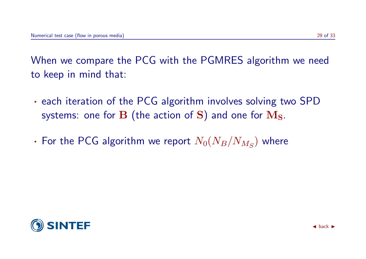- · each iteration of the PCG algorithm involves solving two SPD systems: one for  $\bf{B}$  (the action of  $\bf{S}$ ) and one for  $\bf{M}_S$ .
- $\bm{\cdot}$  For the PCG algorithm we report  $N_0(N_B/N_{M_S})$  where

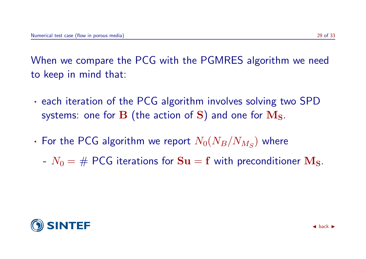- · each iteration of the PCG algorithm involves solving two SPD systems: one for  $\bf{B}$  (the action of  $\bf{S}$ ) and one for  $\bf{M}_S$ .
- $\bm{\cdot}$  For the PCG algorithm we report  $N_0(N_B/N_{M_S})$  where
	- $N_0 = \text{\# PCG iterations}$  for  $\mathbf{S} \mathbf{u} = \mathbf{f}$  with preconditioner  $\mathbf{M_S}$ .

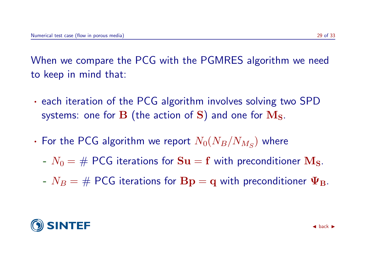- · each iteration of the PCG algorithm involves solving two SPD systems: one for  $\bf{B}$  (the action of  $\bf{S}$ ) and one for  $\bf{M}_S$ .
- $\bm{\cdot}$  For the PCG algorithm we report  $N_0(N_B/N_{M_S})$  where
	- $N_0 = \text{\# PCG iterations}$  for  $\textbf{S} \textbf{u} = \textbf{f}$  with preconditioner  $\textbf{M}_\textbf{S}$ .
	- $N_B = # PCG$  iterations for  $Bp = q$  with preconditioner  $\Psi_B$ .

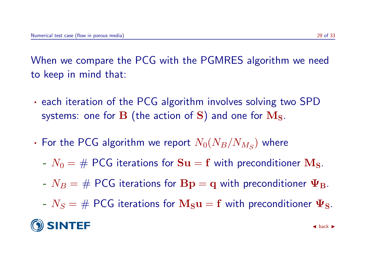- · each iteration of the PCG algorithm involves solving two SPD systems: one for  $\bf{B}$  (the action of  $\bf{S}$ ) and one for  $\bf{M}_S$ .
- $\bm{\cdot}$  For the PCG algorithm we report  $N_0(N_B/N_{M_S})$  where
	- $N_0 = \text{\# PCG iterations}$  for  $\textbf{S} \textbf{u} = \textbf{f}$  with preconditioner  $\textbf{M}_\textbf{S}$ .
	- $N_B = # PCG$  iterations for  $Bp = q$  with preconditioner  $\Psi_B$ .
	- $N_S = \text{\# PCG iterations for } \mathbf{M_S u} = \mathbf{f}$  with preconditioner  $\mathbf{\Psi_S}$ .

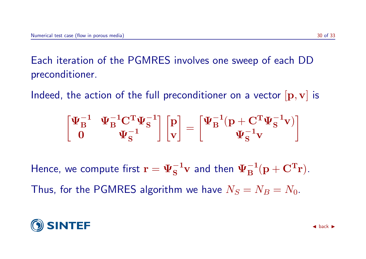Each iteration of the PGMRES involves one sweep of each DD preconditioner.

Indeed, the action of the full preconditioner on a vector  $[p, v]$  is

$$
\begin{bmatrix} \Psi_B^{-1} & \Psi_B^{-1} C^T \Psi_S^{-1} \\ 0 & \Psi_S^{-1} \end{bmatrix} \begin{bmatrix} p \\ v \end{bmatrix} = \begin{bmatrix} \Psi_B^{-1}(p + C^T \Psi_S^{-1} v) \\ \Psi_S^{-1} v \end{bmatrix}
$$

Hence, we compute first  $\mathbf{r} = \mathbf{\Psi}_{\mathbf{S}}^{-1} \mathbf{v}$  and then  $\mathbf{\Psi}_{\mathbf{B}}^{-1} (\mathbf{p} + \mathbf{C}^{\mathbf{T}} \mathbf{r}).$ Thus, for the PGMRES algorithm we have  $N_S = N_B = N_0$ .

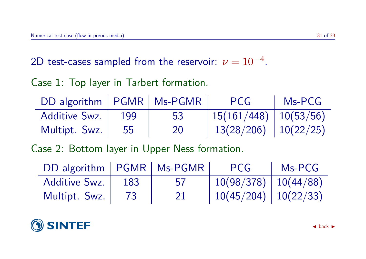2D test-cases sampled from the reservoir:  $\nu=10^{-4}.$ 

#### Case 1: Top layer in Tarbert formation.

| DD algorithm   PGMR   Ms-PGMR |     |    | PCG                                    | Ms-PCG |
|-------------------------------|-----|----|----------------------------------------|--------|
| <b>Additive Swz.</b>          | 199 | 53 | $\mid 15(161/448) \mid 10(53/56) \mid$ |        |
| Multipt. Swz.                 | 55  | 20 | $13(28/206)$   $10(22/25)$             |        |

Case 2: Bottom layer in Upper Ness formation.

| DD algorithm   PGMR   Ms-PGMR |     |    | PCG                        | $Ms-PCG$ |
|-------------------------------|-----|----|----------------------------|----------|
| Additive Swz.                 | 183 | 57 | $10(98/378)$   $10(44/88)$ |          |
| Multipt. Swz.                 | 73  | 21 | $10(45/204)$   $10(22/33)$ |          |

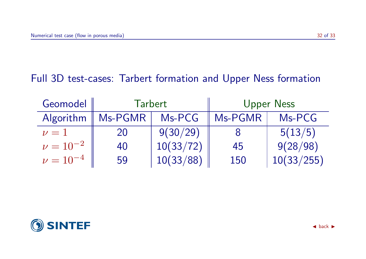#### Full 3D test-cases: Tarbert formation and Upper Ness formation

| Geomodel        | <b>Tarbert</b> |           | <b>Upper Ness</b> |            |
|-----------------|----------------|-----------|-------------------|------------|
| Algorithm       | Ms-PGMR        | Ms-PCG    | Ms-PGMR           | Ms-PCG     |
| $\nu=1$         | 20             | 9(30/29)  |                   | 5(13/5)    |
| $\nu = 10^{-2}$ | 40             | 10(33/72) | 45                | 9(28/98)   |
| $\nu = 10^{-4}$ | 59             | 10(33/88) | 150               | 10(33/255) |

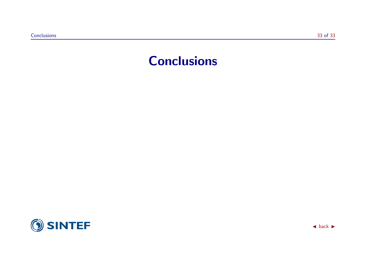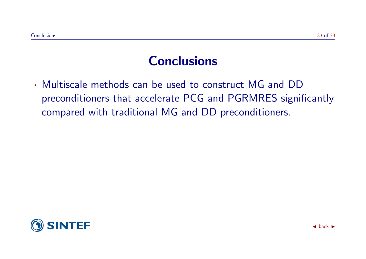· Multiscale methods can be used to construct MG and DD preconditioners that accelerate PCG and PGRMRES significantly compared with traditional MG and DD preconditioners.

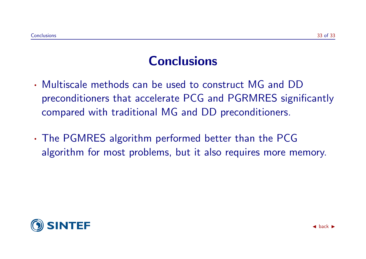- · Multiscale methods can be used to construct MG and DD preconditioners that accelerate PCG and PGRMRES significantly compared with traditional MG and DD preconditioners.
- · The PGMRES algorithm performed better than the PCG algorithm for most problems, but it also requires more memory.